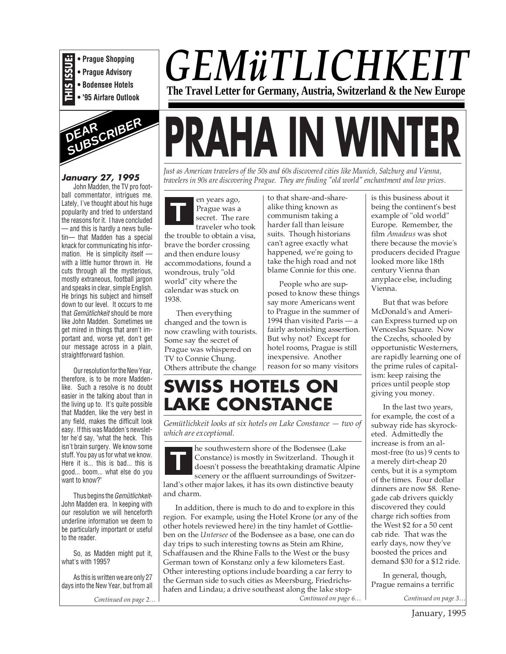

#### **January 27, 1995**

John Madden, the TV pro football commentator, intrigues me. Lately, I've thought about his huge popularity and tried to understand the reasons for it. I have concluded — and this is hardly a news bulletin— that Madden has a special knack for communicating his information. He is simplicity itself with a little humor thrown in. He cuts through all the mysterious, mostly extraneous, football jargon and speaks in clear, simple English. He brings his subject and himself down to our level. It occurs to me that Gemütlichkeit should be more like John Madden. Sometimes we get mired in things that aren't important and, worse yet, don't get our message across in a plain, straightforward fashion.

Our resolution for the New Year, therefore, is to be more Maddenlike. Such a resolve is no doubt easier in the talking about than in the living up to. It's quite possible that Madden, like the very best in any field, makes the difficult look easy. If this was Madden's newsletter he'd say, "what the heck. This isn't brain surgery. We know some stuff. You pay us for what we know. Here it is... this is bad... this is good... boom... what else do you want to know?"

Thus begins the Gemütlichkeit-John Madden era. In keeping with our resolution we will henceforth underline information we deem to be particularly important or useful to the reader.

So, as Madden might put it, what's with 1995?

As this is written we are only 27 days into the New Year, but from all

*Continued on page 2…*

# *GEMüTLICHKEIT* **The Travel Letter for Germany, Austria, Switzerland & the New Europe**

# **HA IN WINT**

*Just as American travelers of the 50s and 60s discovered cities like Munich, Salzburg and Vienna, travelers in 90s are discovering Prague. They are finding "old world" enchantment and low prices.*

en years ago, Prague was a secret. The rare traveler who took the trouble to obtain a visa, brave the border crossing and then endure lousy accommodations, found a wondrous, truly "old world" city where the calendar was stuck on 1938. **T**

Then everything changed and the town is now crawling with tourists. Some say the secret of Prague was whispered on TV to Connie Chung. Others attribute the change to that share-and-sharealike thing known as communism taking a harder fall than leisure suits. Though historians can't agree exactly what happened, we're going to take the high road and not blame Connie for this one.

People who are supposed to know these things say more Americans went to Prague in the summer of 1994 than visited Paris — a fairly astonishing assertion. But why not? Except for hotel rooms, Prague is still inexpensive. Another reason for so many visitors

## **SWISS HOTELS ON LAKE CONSTANCE**

*Gemütlichkeit looks at six hotels on Lake Constance — two of which are exceptional.*

he southwestern shore of the Bodensee (Lake Constance) is mostly in Switzerland. Though it doesn't possess the breathtaking dramatic Alpine scenery or the affluent surroundings of Switzer-**T**

land's other major lakes, it has its own distinctive beauty and charm.

In addition, there is much to do and to explore in this region. For example, using the Hotel Krone (or any of the other hotels reviewed here) in the tiny hamlet of Gottlieben on the *Untersee* of the Bodensee as a base, one can do day trips to such interesting towns as Stein am Rhine, Schaffausen and the Rhine Falls to the West or the busy German town of Konstanz only a few kilometers East. Other interesting options include boarding a car ferry to the German side to such cities as Meersburg, Friedrichshafen and Lindau; a drive southeast along the lake stop-*Continued on page 6…* is this business about it being the continent's best example of "old world" Europe. Remember, the film *Amadeus* was shot there because the movie's producers decided Prague looked more like 18th century Vienna than anyplace else, including Vienna.

But that was before McDonald's and American Express turned up on Wenceslas Square. Now the Czechs, schooled by opportunistic Westerners, are rapidly learning one of the prime rules of capitalism: keep raising the prices until people stop giving you money.

In the last two years, for example, the cost of a subway ride has skyrocketed. Admittedly the increase is from an almost-free (to us) 9 cents to a merely dirt-cheap 20 cents, but it is a symptom of the times. Four dollar dinners are now \$8. Renegade cab drivers quickly discovered they could charge rich softies from the West \$2 for a 50 cent cab ride. That was the early days, now they've boosted the prices and demand \$30 for a \$12 ride.

In general, though, Prague remains a terrific

*Continued on page 3…*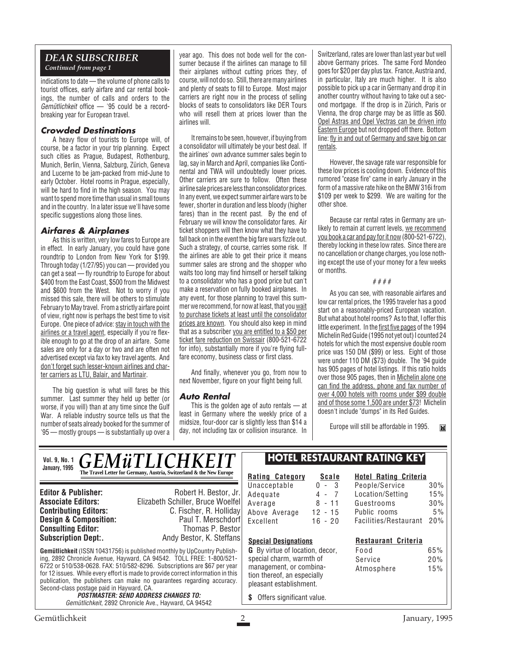#### *DEAR SUBSCRIBER Continued from page 1*

indications to date — the volume of phone calls to tourist offices, early airfare and car rental bookings, the number of calls and orders to the Gemütlichkeit office — '95 could be a recordbreaking year for European travel.

#### **Crowded Destinations**

A heavy flow of tourists to Europe will, of course, be a factor in your trip planning. Expect such cities as Prague, Budapest, Rothenburg, Munich, Berlin, Vienna, Salzburg, Zürich, Geneva and Lucerne to be jam-packed from mid-June to early October. Hotel rooms in Prague, especially, will be hard to find in the high season. You may want to spend more time than usual in small towns and in the country. In a later issue we'll have some specific suggestions along those lines.

#### **Airfares & Airplanes**

As this is written, very low fares to Europe are in effect. In early January, you could have gone roundtrip to London from New York for \$199. Through today (1/27/95) you can — provided you can get a seat — fly roundtrip to Europe for about \$400 from the East Coast, \$500 from the Midwest and \$600 from the West. Not to worry if you missed this sale, there will be others to stimulate February to May travel. From a strictly airfare point of view, right now is perhaps the best time to visit Europe. One piece of advice: stay in touch with the airlines or a travel agent, especially if you're flexible enough to go at the drop of an airfare. Some sales are only for a day or two and are often not advertised except via fax to key travel agents. And don't forget such lesser-known airlines and charter carriers as LTU, Balair, and Martinair.

The big question is what will fares be this summer. Last summer they held up better (or worse, if you will) than at any time since the Gulf War. A reliable industry source tells us that the number of seats already booked for the summer of '95 — mostly groups — is substantially up over a year ago. This does not bode well for the consumer because if the airlines can manage to fill their airplanes without cutting prices they, of course, will not do so. Still, there are many airlines and plenty of seats to fill to Europe. Most major carriers are right now in the process of selling blocks of seats to consolidators like DER Tours who will resell them at prices lower than the airlines will.

It remains to be seen, however, if buying from a consolidator will ultimately be your best deal. If the airlines' own advance summer sales begin to lag, say in March and April, companies like Continental and TWA will undoubtedly lower prices. Other carriers are sure to follow. Often these airline sale prices are less than consolidator prices. In any event, we expect summer airfare wars to be fewer, shorter in duration and less bloody (higher fares) than in the recent past. By the end of February we will know the consolidator fares. Air ticket shoppers will then know what they have to fall back on in the event the big fare wars fizzle out. Such a strategy, of course, carries some risk. If the airlines are able to get their price it means summer sales are strong and the shopper who waits too long may find himself or herself talking to a consolidator who has a good price but can't make a reservation on fully booked airplanes. In any event, for those planning to travel this summer we recommend, for now at least, that you wait to purchase tickets at least until the consolidator prices are known. You should also keep in mind that as a subscriber you are entitled to a \$50 per ticket fare reduction on Swissair (800-521-6722 for info), substantially more if you're flying fullfare economy, business class or first class.

And finally, whenever you go, from now to next November, figure on your flight being full.

#### **Auto Rental**

This is the golden age of auto rentals  $-$  at least in Germany where the weekly price of a midsize, four-door car is slightly less than \$14 a day, not including tax or collision insurance. In

 $\mathbb{R}$ 

Switzerland, rates are lower than last year but well above Germany prices. The same Ford Mondeo goes for \$20 per day plus tax. France, Austria and, in particular, Italy are much higher. It is also possible to pick up a car in Germany and drop it in another country without having to take out a second mortgage. If the drop is in Zürich, Paris or Vienna, the drop charge may be as little as \$60. Opel Astras and Opel Vectras can be driven into Eastern Europe but not dropped off there. Bottom line: fly in and out of Germany and save big on car rentals.

However, the savage rate war responsible for these low prices is cooling down. Evidence of this rumored "cease fire" came in early January in the form of a massive rate hike on the BMW 316i from \$109 per week to \$299. We are waiting for the other shoe.

Because car rental rates in Germany are unlikely to remain at current levels, we recommend you book a car and pay for it now (800-521-6722), thereby locking in these low rates. Since there are no cancellation or change charges, you lose nothing except the use of your money for a few weeks or months.

#### # # # #

As you can see, with reasonable airfares and low car rental prices, the 1995 traveler has a good start on a reasonably-priced European vacation. But what about hotel rooms? As to that, I offer this little experiment. In the first five pages of the 1994 Michelin Red Guide (1995 not yet out) I counted 24 hotels for which the most expensive double room price was 150 DM (\$99) or less. Eight of those were under 110 DM (\$73) double. The '94 guide has 905 pages of hotel listings. If this ratio holds over those 905 pages, then in Michelin alone one can find the address, phone and fax number of over 4,000 hotels with rooms under \$99 double and of those some 1,500 are under \$73! Michelin doesn't include "dumps" in its Red Guides.

Europe will still be affordable in 1995.M

| Vol. 9, No. 1 <b>GEMÜTLICHKEIT</b>                                   |
|----------------------------------------------------------------------|
| The Travel Letter for Germany, Austria, Switzerland & the New Europe |

**Consulting Editor:**<br>Subscription Dept:.

**Editor & Publisher:** Robert H. Bestor, Jr. **Associate Editors:** Elizabeth Schiller, Bruce Woelfel **C. Fischer, R. Holliday**<br>Paul T. Merschdorf **Design & Composition:** Paul T. Merschdorf **Consulting Editor:** Paul T. Merschdorf **Consulting Editor:** Paul Thomas P. Bestor Andy Bestor, K. Steffans

**Gemütlichkeit** (ISSN 10431756) is published monthly by UpCountry Publishing, 2892 Chronicle Avenue, Hayward, CA 94542. TOLL FREE: 1-800/521- 6722 or 510/538-0628. FAX: 510/582-8296. Subscriptions are \$67 per year for 12 issues. While every effort is made to provide correct information in this publication, the publishers can make no guarantees regarding accuracy. Second-class postage paid in Hayward, CA.

**POSTMASTER: SEND ADDRESS CHANGES TO:** Gemütlichkeit, 2892 Chronicle Ave., Hayward, CA 94542

#### **HOTEL RESTAURANT RATING KEY**

**Rating Category Scale** Unacceptable 0 - 3<br>Adequate 4 - 7 Adequate 4 - 7<br>Average 8 - 11 Average Above Average 12 - 15 Excellent 16 - 20

#### **Hotel Rating Criteria** People/Service 30% Location/Setting 15% Guestrooms 30%

Public rooms 5% Facilities/Restaurant 20%

#### **Restaurant Criteria**

Food 65% Service 20% Atmosphere 15%

pleasant establishment. **\$** Offers significant value.

**Special Designations G** By virtue of location, decor, special charm, warmth of management, or combination thereof, an especially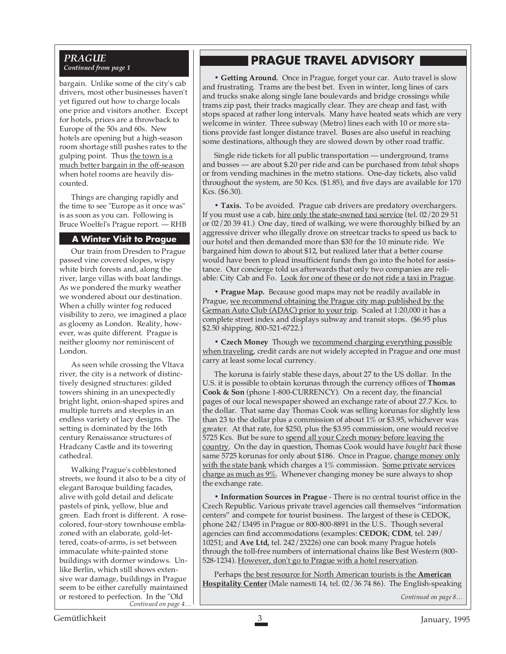#### *PRAGUE Continued from page 1*

bargain. Unlike some of the city's cab drivers, most other businesses haven't yet figured out how to charge locals one price and visitors another. Except for hotels, prices are a throwback to Europe of the 50s and 60s. New hotels are opening but a high-season room shortage still pushes rates to the gulping point. Thus the town is a much better bargain in the off-season when hotel rooms are heavily discounted.

Things are changing rapidly and the time to see "Europe as it once was" is as soon as you can. Following is Bruce Woelfel's Prague report. — RHB

#### **A Winter Visit to Prague**

Our train from Dresden to Prague passed vine covered slopes, wispy white birch forests and, along the river, large villas with boat landings. As we pondered the murky weather we wondered about our destination. When a chilly winter fog reduced visibility to zero, we imagined a place as gloomy as London. Reality, however, was quite different. Prague is neither gloomy nor reminiscent of London.

As seen while crossing the Vltava river, the city is a network of distinctively designed structures: gilded towers shining in an unexpectedly bright light, onion-shaped spires and multiple turrets and steeples in an endless variety of lacy designs. The setting is dominated by the 16th century Renaissance structures of Hradcany Castle and its towering cathedral.

Walking Prague's cobblestoned streets, we found it also to be a city of elegant Baroque building facades, alive with gold detail and delicate pastels of pink, yellow, blue and green. Each front is different. A rosecolored, four-story townhouse emblazoned with an elaborate, gold-lettered, coats-of-arms, is set between immaculate white-painted stone buildings with dormer windows. Unlike Berlin, which still shows extensive war damage, buildings in Prague seem to be either carefully maintained or restored to perfection. In the "Old *Continued on page 4…*

### **PRAGUE TRAVEL ADVISORY**

**• Getting Around.** Once in Prague, forget your car. Auto travel is slow and frustrating. Trams are the best bet. Even in winter, long lines of cars and trucks snake along single lane boulevards and bridge crossings while trams zip past, their tracks magically clear. They are cheap and fast, with stops spaced at rather long intervals. Many have heated seats which are very welcome in winter. Three subway (Metro) lines each with 10 or more stations provide fast longer distance travel. Buses are also useful in reaching some destinations, although they are slowed down by other road traffic.

Single ride tickets for all public transportation — underground, trams and busses — are about \$.20 per ride and can be purchased from *tabak* shops or from vending machines in the metro stations. One-day tickets, also valid throughout the system, are 50 Kcs. (\$1.85), and five days are available for 170 Kcs. (\$6.30).

**• Taxis.** To be avoided. Prague cab drivers are predatory overchargers. If you must use a cab, hire only the state-owned taxi service (tel. 02/20 29 51 or 02/20 39 41.) One day, tired of walking, we were thoroughly bilked by an aggressive driver who illegally drove on streetcar tracks to speed us back to our hotel and then demanded more than \$30 for the 10 minute ride. We bargained him down to about \$12, but realized later that a better course would have been to plead insufficient funds then go into the hotel for assistance. Our concierge told us afterwards that only two companies are reliable: City Cab and Fo. Look for one of these or do not ride a taxi in Prague.

**• Prague Map.** Because good maps may not be readily available in Prague, we recommend obtaining the Prague city map published by the German Auto Club (ADAC) prior to your trip. Scaled at 1:20,000 it has a complete street index and displays subway and transit stops. (\$6.95 plus \$2.50 shipping, 800-521-6722.)

**• Czech Money** Though we recommend charging everything possible when traveling, credit cards are not widely accepted in Prague and one must carry at least some local currency.

The koruna is fairly stable these days, about 27 to the US dollar. In the U.S. it is possible to obtain korunas through the currency offices of **Thomas Cook & Son** (phone 1-800-CURRENCY). On a recent day, the financial pages of our local newspaper showed an exchange rate of about 27.7 Kcs. to the dollar. That same day Thomas Cook was selling korunas for slightly less than 23 to the dollar plus a commission of about 1% or \$3.95, whichever was greater. At that rate, for \$250, plus the \$3.95 commission, one would receive 5725 Kcs. But be sure to spend all your Czech money before leaving the country. On the day in question, Thomas Cook would have *bought back* those same 5725 korunas for only about \$186. Once in Prague, change money only with the state bank which charges a 1% commission. Some private services charge as much as 9%. Whenever changing money be sure always to shop the exchange rate.

**• Information Sources in Prague** - There is no central tourist office in the Czech Republic. Various private travel agencies call themselves "information centers" and compete for tourist business. The largest of these is CEDOK, phone 242/13495 in Prague or 800-800-8891 in the U.S.. Though several agencies can find accommodations (examples: **CEDOK**; **CDM**, tel. 249/ 10251; and **Ave Ltd,** tel. 242/23226) one can book many Prague hotels through the toll-free numbers of international chains like Best Western (800- 528-1234). However, don't go to Prague with a hotel reservation.

Perhaps the best resource for North American tourists is the **American Hospitality Center** (Male namesti 14, tel. 02/36 74 86). The English-speaking

*Continued on page 8…*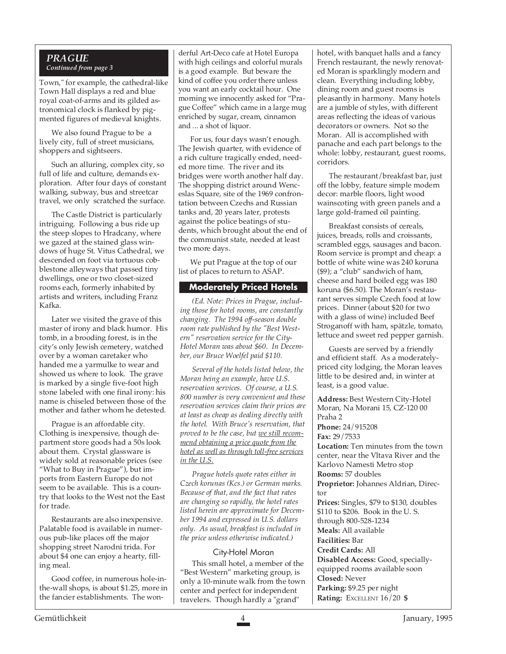#### *PRAGUE Continued from page 3*

Town," for example, the cathedral-like Town Hall displays a red and blue royal coat-of-arms and its gilded astronomical clock is flanked by pigmented figures of medieval knights.

We also found Prague to be a lively city, full of street musicians, shoppers and sightseers.

Such an alluring, complex city, so full of life and culture, demands exploration. After four days of constant walking, subway, bus and streetcar travel, we only scratched the surface.

The Castle District is particularly intriguing. Following a bus ride up the steep slopes to Hradcany, where we gazed at the stained glass windows of huge St. Vitus Cathedral, we descended on foot via tortuous cobblestone alleyways that passed tiny dwellings, one or two closet-sized rooms each, formerly inhabited by artists and writers, including Franz Kafka.

Later we visited the grave of this master of irony and black humor. His tomb, in a brooding forest, is in the city's only Jewish cemetery, watched over by a woman caretaker who handed me a yarmulke to wear and showed us where to look. The grave is marked by a single five-foot high stone labeled with one final irony: his name is chiseled between those of the mother and father whom he detested.

Prague is an affordable city. Clothing is inexpensive, though department store goods had a 50s look about them. Crystal glassware is widely sold at reasonable prices (see "What to Buy in Prague"), but imports from Eastern Europe do not seem to be available. This is a country that looks to the West not the East for trade.

Restaurants are also inexpensive. Palatable food is available in numerous pub-like places off the major shopping street Narodni trida. For about \$4 one can enjoy a hearty, filling meal.

Good coffee, in numerous hole-inthe-wall shops, is about \$1.25, more in the fancier establishments. The won-

derful Art-Deco cafe at Hotel Europa with high ceilings and colorful murals is a good example. But beware the kind of coffee you order there unless you want an early cocktail hour. One morning we innocently asked for "Prague Coffee" which came in a large mug enriched by sugar, cream, cinnamon and ... a shot of liquor.

For us, four days wasn't enough. The Jewish quarter, with evidence of a rich culture tragically ended, needed more time. The river and its bridges were worth another half day. The shopping district around Wenceslas Square, site of the 1969 confrontation between Czechs and Russian tanks and, 20 years later, protests against the police beatings of students, which brought about the end of the communist state, needed at least two more days.

We put Prague at the top of our list of places to return to ASAP.

#### **Moderately Priced Hotels**

*(Ed. Note: Prices in Prague, including those for hotel rooms, are constantly changing. The 1994 off-season double room rate published by the "Best Western" reservation service for the City-Hotel Moran was about \$60. In December, our Bruce Woelfel paid \$110.*

*Several of the hotels listed below, the Moran being an example, have U.S. reservation services. Of course, a U.S. 800 number is very convenient and these reservation services claim their prices are at least as cheap as dealing directly with the hotel. With Bruce's reservation, that proved to be the case, but we still recommend obtaining a price quote from the hotel as well as through toll-free services in the U.S.*

*Prague hotels quote rates either in Czech korunas (Kcs.) or German marks. Because of that, and the fact that rates are changing so rapidly, the hotel rates listed herein are approximate for December 1994 and expressed in U.S. dollars only. As usual, breakfast is included in the price unless otherwise indicated.)*

#### City-Hotel Moran

This small hotel, a member of the "Best Western" marketing group, is only a 10-minute walk from the town center and perfect for independent travelers. Though hardly a "grand"

hotel, with banquet halls and a fancy French restaurant, the newly renovated Moran is sparklingly modern and clean. Everything including lobby, dining room and guest rooms is pleasantly in harmony. Many hotels are a jumble of styles, with different areas reflecting the ideas of various decorators or owners. Not so the Moran. All is accomplished with panache and each part belongs to the whole: lobby, restaurant, guest rooms, corridors.

The restaurant/breakfast bar, just off the lobby, feature simple modern decor: marble floors, light wood wainscoting with green panels and a large gold-framed oil painting.

Breakfast consists of cereals, juices, breads, rolls and croissants, scrambled eggs, sausages and bacon. Room service is prompt and cheap: a bottle of white wine was 240 koruna (\$9); a "club" sandwich of ham, cheese and hard boiled egg was 180 koruna (\$6.50). The Moran's restaurant serves simple Czech food at low prices. Dinner (about \$20 for two with a glass of wine) included Beef Stroganoff with ham, spätzle, tomato, lettuce and sweet red pepper garnish.

Guests are served by a friendly and efficient staff. As a moderatelypriced city lodging, the Moran leaves little to be desired and, in winter at least, is a good value.

**Address:** Best Western City-Hotel Moran, Na Morani 15, CZ-120 00 Praha 2

**Phone:** 24/915208 **Fax:** 29/7533

**Location:** Ten minutes from the town center, near the Vltava River and the Karlovo Namesti Metro stop **Rooms:** 57 doubles

**Proprietor:** Johannes Aldrian, Director

**Prices:** Singles, \$79 to \$130, doubles \$110 to \$206. Book in the U. S. through 800-528-1234

**Meals:** All available **Facilities:** Bar

**Credit Cards:** All

**Disabled Access:** Good, speciallyequipped rooms available soon **Closed:** Never **Parking:** \$9.25 per night **Rating:** EXCELLENT 16/20 **\$**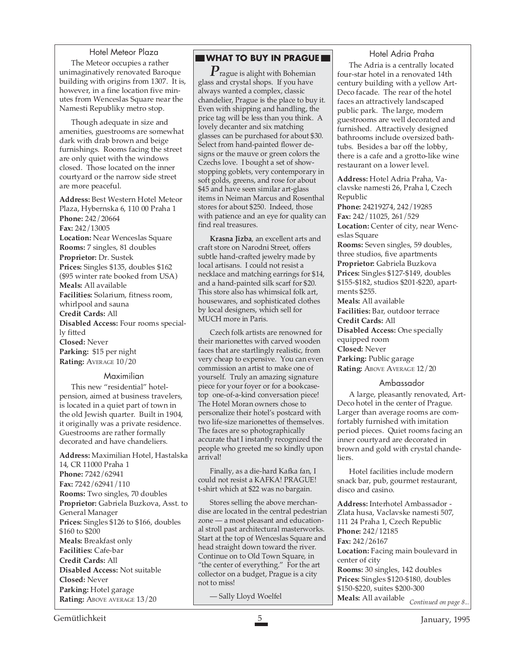#### Hotel Meteor Plaza

The Meteor occupies a rather unimaginatively renovated Baroque building with origins from 1307. It is, however, in a fine location five minutes from Wenceslas Square near the Namesti Republiky metro stop.

Though adequate in size and amenities, guestrooms are somewhat dark with drab brown and beige furnishings. Rooms facing the street are only quiet with the windows closed. Those located on the inner courtyard or the narrow side street are more peaceful.

**Address:** Best Western Hotel Meteor Plaza, Hybernska 6, 110 00 Praha 1 **Phone:** 242/20664 **Fax:** 242/13005 **Location:** Near Wenceslas Square **Rooms:** 7 singles, 81 doubles **Proprietor:** Dr. Sustek **Prices:** Singles \$135, doubles \$162 (\$95 winter rate booked from USA) **Meals:** All available **Facilities:** Solarium, fitness room, whirlpool and sauna **Credit Cards:** All **Disabled Access:** Four rooms specially fitted **Closed:** Never **Parking:** \$15 per night **Rating:** AVERAGE 10/20

#### Maximilian

This new "residential" hotelpension, aimed at business travelers, is located in a quiet part of town in the old Jewish quarter. Built in 1904, it originally was a private residence. Guestrooms are rather formally decorated and have chandeliers.

**Address:** Maximilian Hotel, Hastalska 14, CR 11000 Praha 1 **Phone:** 7242/62941 **Fax:** 7242/62941/110 **Rooms:** Two singles, 70 doubles **Proprietor:** Gabriela Buzkova, Asst. to General Manager **Prices:** Singles \$126 to \$166, doubles \$160 to \$200 **Meals:** Breakfast only **Facilities:** Cafe-bar **Credit Cards:** All **Disabled Access:** Not suitable **Closed:** Never **Parking:** Hotel garage **Rating:** ABOVE AVERAGE 13/20

#### **WHAT TO BUY IN PRAGUE <b>WHAT**

*P*rague is alight with Bohemian glass and crystal shops. If you have always wanted a complex, classic chandelier, Prague is the place to buy it. Even with shipping and handling, the price tag will be less than you think. A lovely decanter and six matching glasses can be purchased for about \$30. Select from hand-painted flower designs or the mauve or green colors the Czechs love. I bought a set of showstopping goblets, very contemporary in soft golds, greens, and rose for about \$45 and have seen similar art-glass items in Neiman Marcus and Rosenthal stores for about \$250. Indeed, those with patience and an eye for quality can find real treasures.

**Krasna Jizba**, an excellent arts and craft store on Narodni Street, offers subtle hand-crafted jewelry made by local artisans. I could not resist a necklace and matching earrings for \$14, and a hand-painted silk scarf for \$20. This store also has whimsical folk art, housewares, and sophisticated clothes by local designers, which sell for MUCH more in Paris.

Czech folk artists are renowned for their marionettes with carved wooden faces that are startlingly realistic, from very cheap to expensive. You can even commission an artist to make one of yourself. Truly an amazing signature piece for your foyer or for a bookcasetop one-of-a-kind conversation piece! The Hotel Moran owners chose to personalize their hotel's postcard with two life-size marionettes of themselves. The faces are so photographically accurate that I instantly recognized the people who greeted me so kindly upon arrival!

Finally, as a die-hard Kafka fan, I could not resist a KAFKA! PRAGUE! t-shirt which at \$22 was no bargain.

Stores selling the above merchandise are located in the central pedestrian zone — a most pleasant and educational stroll past architectural masterworks. Start at the top of Wenceslas Square and head straight down toward the river. Continue on to Old Town Square, in "the center of everything." For the art collector on a budget, Prague is a city not to miss!

#### Hotel Adria Praha

The Adria is a centrally located four-star hotel in a renovated 14th century building with a yellow Art-Deco facade. The rear of the hotel faces an attractively landscaped public park. The large, modern guestrooms are well decorated and furnished. Attractively designed bathrooms include oversized bathtubs. Besides a bar off the lobby, there is a cafe and a grotto-like wine restaurant on a lower level.

**Address:** Hotel Adria Praha, Vaclavske namesti 26, Praha l, Czech Republic **Phone:** 24219274, 242/19285 **Fax:** 242/11025, 261/529 **Location:** Center of city, near Wenceslas Square **Rooms:** Seven singles, 59 doubles, three studios, five apartments **Proprietor:** Gabriela Buzkova **Prices:** Singles \$127-\$149, doubles \$155-\$182, studios \$201-\$220, apartments \$255. **Meals:** All available **Facilities:** Bar, outdoor terrace **Credit Cards:** All **Disabled Access:** One specially equipped room **Closed:** Never **Parking:** Public garage **Rating: ABOVE AVERAGE 12/20** 

#### Ambassador

A large, pleasantly renovated, Art-Deco hotel in the center of Prague. Larger than average rooms are comfortably furnished with imitation period pieces. Quiet rooms facing an inner courtyard are decorated in brown and gold with crystal chandeliers.

Hotel facilities include modern snack bar, pub, gourmet restaurant, disco and casino.

— Sally Lloyd Woelfel **Meals:** All available *Continued on page 8...* **Address:** Interhotel Ambassador - Zlata husa, Vaclavske namesti 507, 111 24 Praha 1, Czech Republic **Phone:** 242/12185 **Fax:** 242/26167 Location: Facing main boulevard in center of city **Rooms:** 30 singles, 142 doubles **Prices:** Singles \$120-\$180, doubles \$150-\$220, suites \$200-300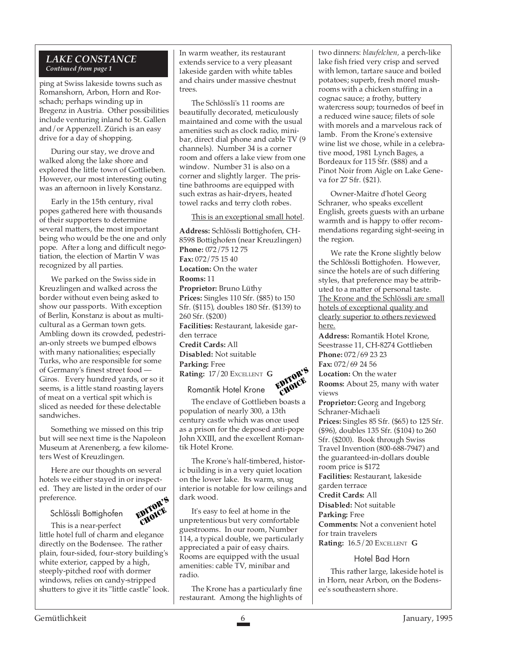#### *LAKE CONSTANCE Continued from page 1*

ping at Swiss lakeside towns such as Romanshorn, Arbon, Horn and Rorschach; perhaps winding up in Bregenz in Austria. Other possibilities include venturing inland to St. Gallen and/or Appenzell. Zürich is an easy drive for a day of shopping.

During our stay, we drove and walked along the lake shore and explored the little town of Gottlieben. However, our most interesting outing was an afternoon in lively Konstanz.

Early in the 15th century, rival popes gathered here with thousands of their supporters to determine several matters, the most important being who would be the one and only pope. After a long and difficult negotiation, the election of Martin V was recognized by all parties.

We parked on the Swiss side in Kreuzlingen and walked across the border without even being asked to show our passports. With exception of Berlin, Konstanz is about as multicultural as a German town gets. Ambling down its crowded, pedestrian-only streets we bumped elbows with many nationalities; especially Turks, who are responsible for some of Germany's finest street food — Giros. Every hundred yards, or so it seems, is a little stand roasting layers of meat on a vertical spit which is sliced as needed for these delectable sandwiches.

Something we missed on this trip but will see next time is the Napoleon Museum at Arenenberg, a few kilometers West of Kreuzlingen.

Here are our thoughts on several hotels we either stayed in or inspected. They are listed in the order of our preference.

Schlössli Bottighofen



This is a near-perfect little hotel full of charm and elegance directly on the Bodensee. The rather plain, four-sided, four-story building's white exterior, capped by a high, steeply-pitched roof with dormer windows, relies on candy-stripped shutters to give it its "little castle" look. In warm weather, its restaurant extends service to a very pleasant lakeside garden with white tables and chairs under massive chestnut trees

The Schlössli's 11 rooms are beautifully decorated, meticulously maintained and come with the usual amenities such as clock radio, minibar, direct dial phone and cable TV (9 channels). Number 34 is a corner room and offers a lake view from one window. Number 31 is also on a corner and slightly larger. The pristine bathrooms are equipped with such extras as hair-dryers, heated towel racks and terry cloth robes.

#### This is an exceptional small hotel.

**Address:** Schlössli Bottighofen, CH-8598 Bottighofen (near Kreuzlingen) **Phone:** 072/75 12 75 **Fax:** 072/75 15 40 **Location:** On the water **Rooms:** 11 **Proprietor:** Bruno Lüthy **Prices:** Singles 110 Sfr. (\$85) to 150 Sfr. (\$115), doubles 180 Sfr. (\$139) to 260 Sfr. (\$200) **Facilities:** Restaurant, lakeside garden terrace **Credit Cards:** All **Disabled:** Not suitable **Parking:** Free **Rating:** 17/20 EXCELLENT **G** EDITOR'S

Romantik Hotel Krone

The enclave of Gottlieben boasts a population of nearly 300, a 13th century castle which was once used as a prison for the deposed anti-pope John XXIII, and the excellent Romantik Hotel Krone. CHOICE

The Krone's half-timbered, historic building is in a very quiet location on the lower lake. Its warm, snug interior is notable for low ceilings and dark wood.

It's easy to feel at home in the unpretentious but very comfortable guestrooms. In our room, Number 114, a typical double, we particularly appreciated a pair of easy chairs. Rooms are equipped with the usual amenities: cable TV, minibar and radio.

The Krone has a particularly fine restaurant. Among the highlights of two dinners: *blaufelchen,* a perch-like lake fish fried very crisp and served with lemon, tartare sauce and boiled potatoes; superb, fresh morel mushrooms with a chicken stuffing in a cognac sauce; a frothy, buttery watercress soup; tournedos of beef in a reduced wine sauce; filets of sole with morels and a marvelous rack of lamb. From the Krone's extensive wine list we chose, while in a celebrative mood, 1981 Lynch Bages, a Bordeaux for 115 Sfr. (\$88) and a Pinot Noir from Aigle on Lake Geneva for 27 Sfr. (\$21).

Owner-Maitre d'hotel Georg Schraner, who speaks excellent English, greets guests with an urbane warmth and is happy to offer recommendations regarding sight-seeing in the region.

We rate the Krone slightly below the Schlössli Bottighofen. However, since the hotels are of such differing styles, that preference may be attributed to a matter of personal taste. The Krone and the Schlössli are small hotels of exceptional quality and clearly superior to others reviewed here.

**Address:** Romantik Hotel Krone, Seestrasse 11, CH-8274 Gottlieben **Phone:** 072/69 23 23 **Fax:** 072/69 24 56

**Location:** On the water **Rooms:** About 25, many with water

views

**Proprietor:** Georg and Ingeborg Schraner-Michaeli **Prices:** Singles 85 Sfr. (\$65) to 125 Sfr. (\$96), doubles 135 Sfr. (\$104) to 260 Sfr. (\$200). Book through Swiss Travel Invention (800-688-7947) and the guaranteed-in-dollars double room price is \$172 **Facilities:** Restaurant, lakeside garden terrace

**Credit Cards:** All

**Disabled:** Not suitable

**Parking:** Free

**Comments:** Not a convenient hotel for train travelers

**Rating:** 16.5/20 EXCELLENT **G**

Hotel Bad Horn

This rather large, lakeside hotel is in Horn, near Arbon, on the Bodensee's southeastern shore.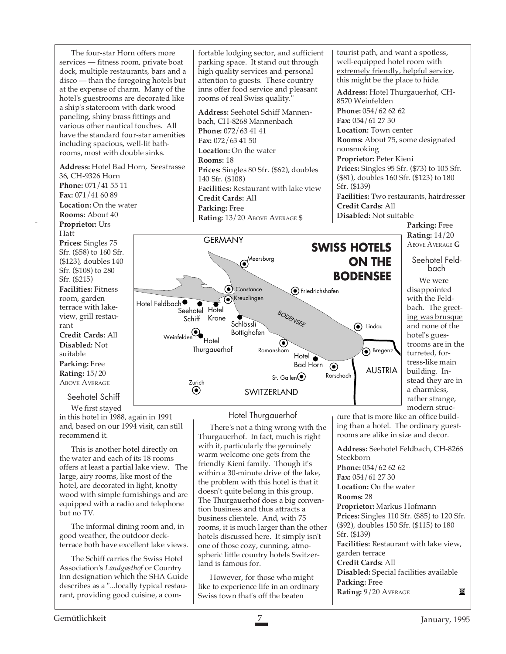

#### Hotel Thurgauerhof

There's not a thing wrong with the Thurgauerhof. In fact, much is right with it, particularly the genuinely warm welcome one gets from the friendly Kieni family. Though it's within a 30-minute drive of the lake, the problem with this hotel is that it doesn't quite belong in this group. The Thurgauerhof does a big convention business and thus attracts a business clientele. And, with 75 rooms, it is much larger than the other hotels discussed here. It simply isn't one of those cozy, cunning, atmospheric little country hotels Switzerland is famous for.

However, for those who might like to experience life in an ordinary Swiss town that's off the beaten

ture that is more like an office building than a hotel. The ordinary guestrooms are alike in size and decor.

**Address:** Seehotel Feldbach, CH-8266 Steckborn **Phone:** 054/62 62 62 **Fax:** 054/61 27 30 **Location:** On the water **Rooms:** 28 **Proprietor:** Markus Hofmann **Prices:** Singles 110 Sfr. (\$85) to 120 Sfr. (\$92), doubles 150 Sfr. (\$115) to 180 Sfr. (\$139) **Facilities:** Restaurant with lake view, garden terrace **Credit Cards:** All **Disabled:** Special facilities available **Parking:** Free Ĭ×Ï **Rating:** 9/20 AVERAGE

in this hotel in 1988, again in 1991 and, based on our 1994 visit, can still

This is another hotel directly on the water and each of its 18 rooms offers at least a partial lake view. The large, airy rooms, like most of the hotel, are decorated in light, knotty wood with simple furnishings and are equipped with a radio and telephone

The informal dining room and, in good weather, the outdoor deckterrace both have excellent lake views. The Schiff carries the Swiss Hotel Association's *Landgasthof* or Country Inn designation which the SHA Guide describes as a "...locally typical restaurant, providing good cuisine, a com-

recommend it.

-

but no TV.